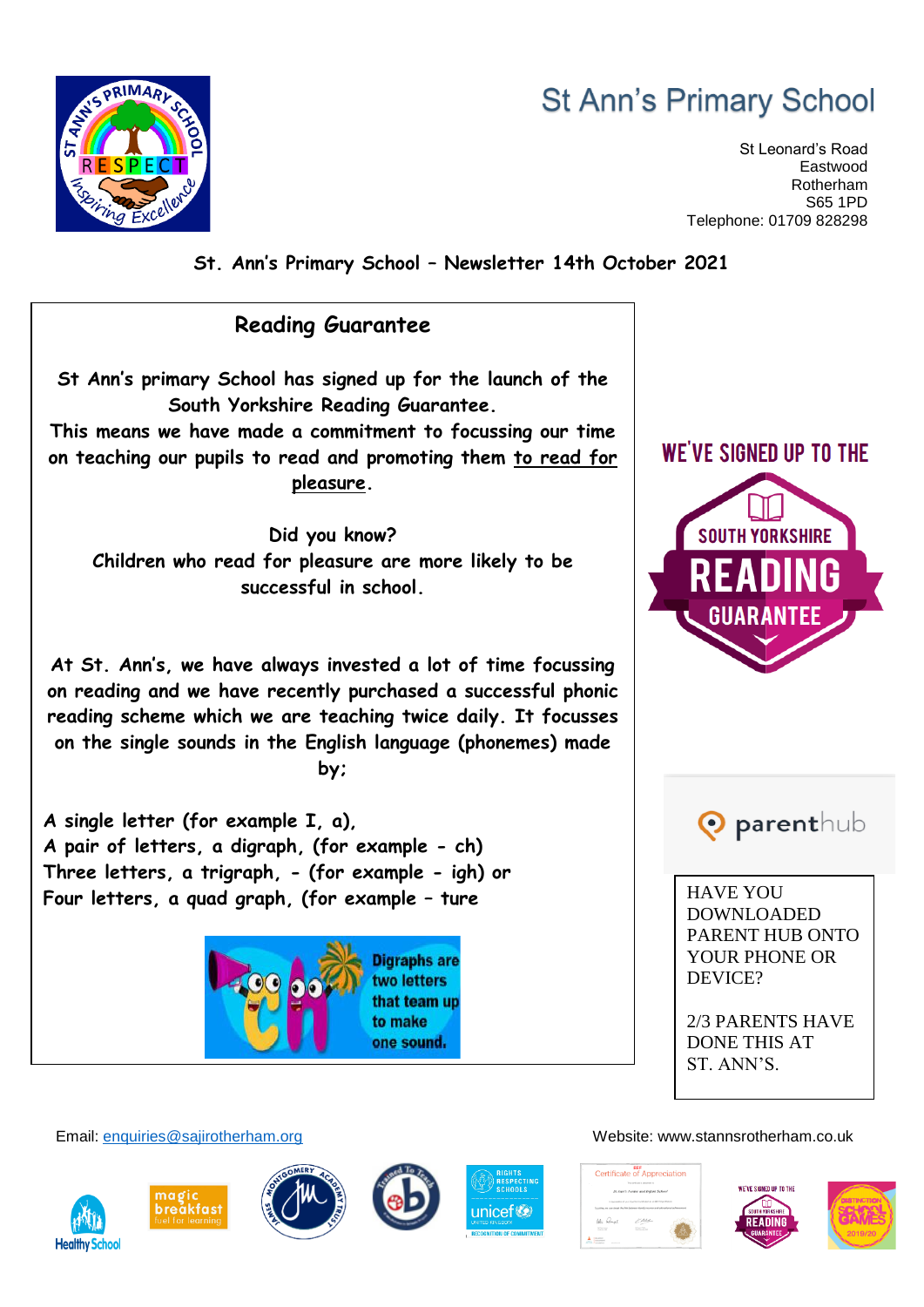## **St Ann's Primary School**

St Leonard's Road Eastwood Rotherham S65 1PD Telephone: 01709 828298



**St. Ann's Primary School – Newsletter 14th October 2021**



2/3 PARENTS HAVE DONE THIS AT ST. ANN'S.

Email: [enquiries@sajirotherham.org](mailto:enquiries@sajirotherham.org) Website: www.stannsrotherham.co.uk









one sound.



Certificate of Appreciation